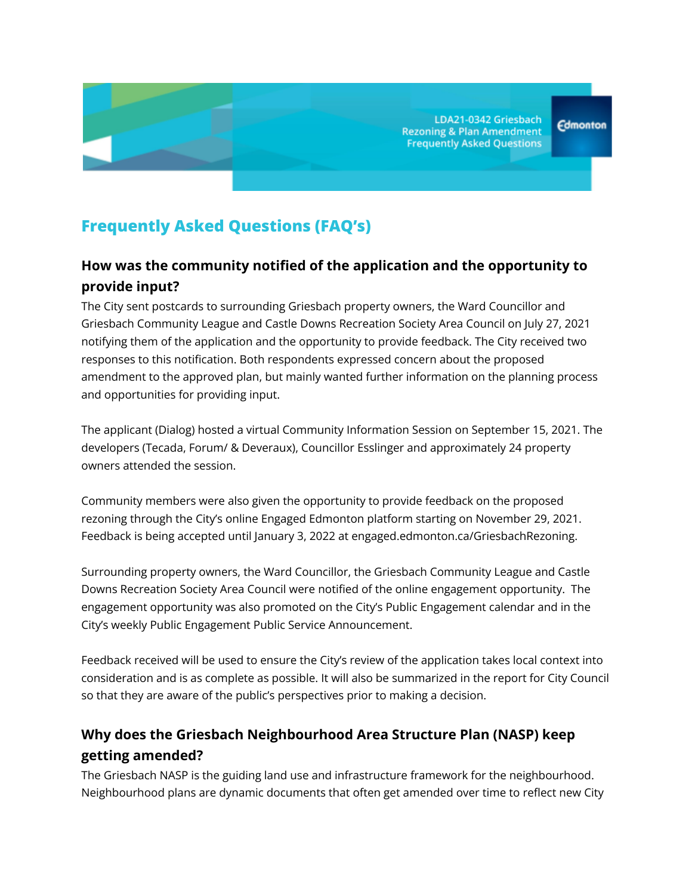LDA21-0342 Griesbach **Rezoning & Plan Amendment Frequently Asked Questions** 

# **Frequently Asked Questions (FAQ's)**

## **How was the community notified of the application and the opportunity to provide input?**

The City sent postcards to surrounding Griesbach property owners, the Ward Councillor and Griesbach Community League and Castle Downs Recreation Society Area Council on July 27, 2021 notifying them of the application and the opportunity to provide feedback. The City received two responses to this notification. Both respondents expressed concern about the proposed amendment to the approved plan, but mainly wanted further information on the planning process and opportunities for providing input.

The applicant (Dialog) hosted a virtual Community Information Session on September 15, 2021. The developers (Tecada, Forum/ & Deveraux), Councillor Esslinger and approximately 24 property owners attended the session.

Community members were also given the opportunity to provide feedback on the proposed rezoning through the City's online Engaged Edmonton platform starting on November 29, 2021. Feedback is being accepted until January 3, 2022 at engaged.edmonton.ca/GriesbachRezoning.

Surrounding property owners, the Ward Councillor, the Griesbach Community League and Castle Downs Recreation Society Area Council were notified of the online engagement opportunity. The engagement opportunity was also promoted on the City's Public Engagement calendar and in the City's weekly Public Engagement Public Service Announcement.

Feedback received will be used to ensure the City's review of the application takes local context into consideration and is as complete as possible. It will also be summarized in the report for City Council so that they are aware of the public's perspectives prior to making a decision.

### **Why does the Griesbach Neighbourhood Area Structure Plan (NASP) keep getting amended?**

The Griesbach NASP is the guiding land use and infrastructure framework for the neighbourhood. Neighbourhood plans are dynamic documents that often get amended over time to reflect new City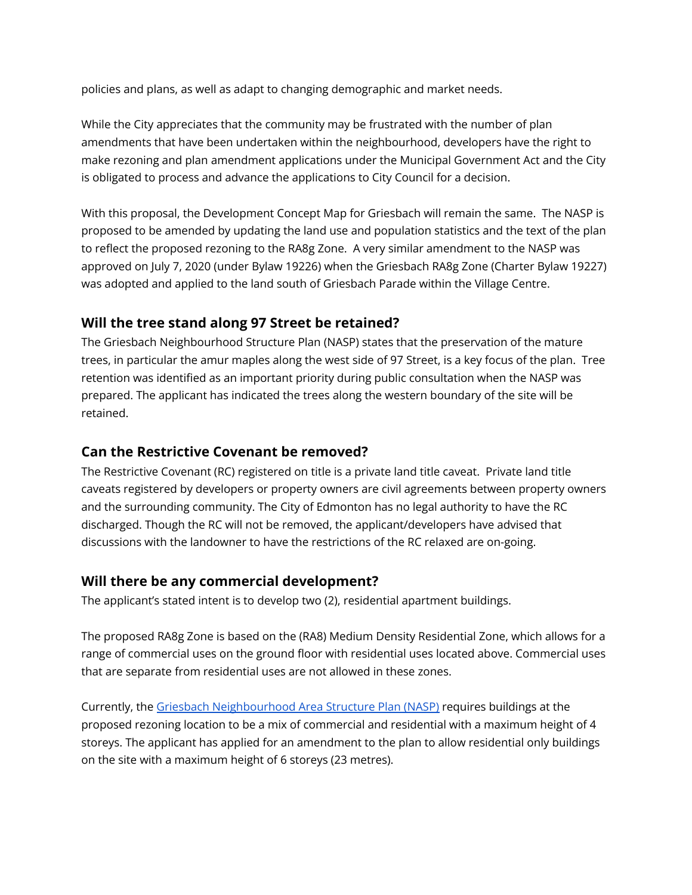policies and plans, as well as adapt to changing demographic and market needs.

While the City appreciates that the community may be frustrated with the number of plan amendments that have been undertaken within the neighbourhood, developers have the right to make rezoning and plan amendment applications under the Municipal Government Act and the City is obligated to process and advance the applications to City Council for a decision.

With this proposal, the Development Concept Map for Griesbach will remain the same. The NASP is proposed to be amended by updating the land use and population statistics and the text of the plan to reflect the proposed rezoning to the RA8g Zone. A very similar amendment to the NASP was approved on July 7, 2020 (under Bylaw 19226) when the Griesbach RA8g Zone (Charter Bylaw 19227) was adopted and applied to the land south of Griesbach Parade within the Village Centre.

#### **Will the tree stand along 97 Street be retained?**

The Griesbach Neighbourhood Structure Plan (NASP) states that the preservation of the mature trees, in particular the amur maples along the west side of 97 Street, is a key focus of the plan. Tree retention was identified as an important priority during public consultation when the NASP was prepared. The applicant has indicated the trees along the western boundary of the site will be retained.

#### **Can the Restrictive Covenant be removed?**

The Restrictive Covenant (RC) registered on title is a private land title caveat. Private land title caveats registered by developers or property owners are civil agreements between property owners and the surrounding community. The City of Edmonton has no legal authority to have the RC discharged. Though the RC will not be removed, the applicant/developers have advised that discussions with the landowner to have the restrictions of the RC relaxed are on-going.

#### **Will there be any commercial development?**

The applicant's stated intent is to develop two (2), residential apartment buildings.

The proposed RA8g Zone is based on the (RA8) Medium Density Residential Zone, which allows for a range of commercial uses on the ground floor with residential uses located above. Commercial uses that are separate from residential uses are not allowed in these zones.

Currently, the Griesbach [Neighbourhood](https://webdocs.edmonton.ca/infraplan/plans_in_effect/Griesbach_NASP_Consolidation.pdf) Area Structure Plan (NASP) requires buildings at the proposed rezoning location to be a mix of commercial and residential with a maximum height of 4 storeys. The applicant has applied for an amendment to the plan to allow residential only buildings on the site with a maximum height of 6 storeys (23 metres).